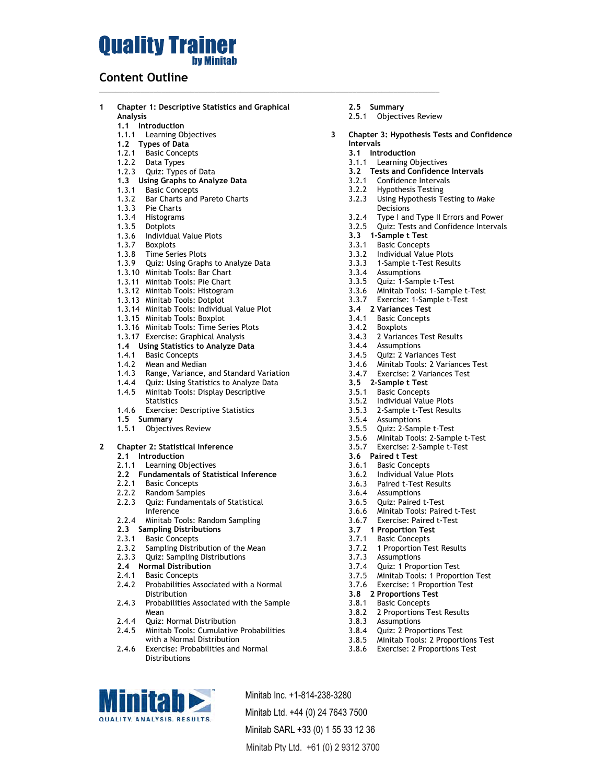# **Ouality Trainer by Minitab**

### **Content Outline**

**1 Chapter 1: Descriptive Statistics and Graphical Analysis 1.1 Introduction** 1.1.1 Learning Objectives **1.2 Types of Data**  1.2.1 Basic Concepts 1.2.2 Data Types

\_\_\_\_\_\_\_\_\_\_\_\_\_\_\_\_\_\_\_\_\_\_\_\_\_\_\_\_\_\_\_\_\_\_\_\_\_\_\_\_\_\_\_\_\_\_\_\_\_\_\_\_\_\_\_\_\_\_\_\_\_\_\_\_\_\_\_\_\_\_\_\_\_\_\_\_\_\_\_\_\_\_

- 1.2.3 Quiz: Types of Data
- **1.3 Using Graphs to Analyze Data**
- 1.3.1 Basic Concepts
- 1.3.2 Bar Charts and Pareto Charts
- 1.3.3 Pie Charts
- 1.3.4 Histograms
- 1.3.5 Dotplots
- 1.3.6 Individual Value Plots
- 1.3.7 Boxplots
- 1.3.8 Time Series Plots
- 1.3.9 Quiz: Using Graphs to Analyze Data
- 1.3.10 Minitab Tools: Bar Chart
- 1.3.11 Minitab Tools: Pie Chart
- 1.3.12 Minitab Tools: Histogram
- 1.3.13 Minitab Tools: Dotplot
- 1.3.14 Minitab Tools: Individual Value Plot
- 1.3.15 Minitab Tools: Boxplot
- 1.3.16 Minitab Tools: Time Series Plots
- 1.3.17 Exercise: Graphical Analysis
- **1.4 Using Statistics to Analyze Data**
- 1.4.1 Basic Concepts
- 1.4.2 Mean and Median
- 1.4.3 Range, Variance, and Standard Variation
- 1.4.4 Quiz: Using Statistics to Analyze Data 1.4.5 Minitab Tools: Display Descriptive **Statistics**
- 1.4.6 Exercise: Descriptive Statistics
- **1.5 Summary**
- 1.5.1 Objectives Review

### **2 Chapter 2: Statistical Inference**

- **2.1 Introduction**
- 2.1.1 Learning Objectives
- **2.2 Fundamentals of Statistical Inference**
- 2.2.1 Basic Concepts
- 2.2.2 Random Samples
- 2.2.3 Quiz: Fundamentals of Statistical Inference
- 2.2.4 Minitab Tools: Random Sampling
- **2.3 Sampling Distributions**
- 2.3.1 Basic Concepts
- 2.3.2 Sampling Distribution of the Mean
- 2.3.3 Quiz: Sampling Distributions
- **2.4 Normal Distribution**
- 2.4.1 Basic Concepts

**initah QUALITY, ANALYSIS, RESULTS.** 

- 2.4.2 Probabilities Associated with a Normal Distribution
- 2.4.3 Probabilities Associated with the Sample Mean
- 2.4.4 Quiz: Normal Distribution
- 2.4.5 Minitab Tools: Cumulative Probabilities with a Normal Distribution

Minitab Inc. +1-814-238-3280 Minitab Ltd. +44 (0) 24 7643 7500 Minitab SARL +33 (0) 1 55 33 12 36 Minitab Pty Ltd. +61 (0) 2 9312 3700

2.4.6 Exercise: Probabilities and Normal **Distributions** 

- **2.5 Summary**
- 2.5.1 Objectives Review
- **3 Chapter 3: Hypothesis Tests and Confidence Intervals**
	- **3.1 Introduction**
	- 3.1.1 Learning Objectives
	- **3.2 Tests and Confidence Intervals**
	- 3.2.1 Confidence Intervals
	- 3.2.2 Hypothesis Testing
	- 3.2.3 Using Hypothesis Testing to Make **Decisions**
	- 3.2.4 Type I and Type II Errors and Power
	- 3.2.5 Quiz: Tests and Confidence Intervals
	- **3.3 1-Sample t Test**
	- 3.3.1 Basic Concepts
	- 3.3.2 Individual Value Plots
	- 3.3.3 1-Sample t-Test Results
	- 3.3.4 Assumptions
	- 3.3.5 Quiz: 1-Sample t-Test
	- 3.3.6 Minitab Tools: 1-Sample t-Test
	- 3.3.7 Exercise: 1-Sample t-Test
	- **3.4 2 Variances Test**
	- 3.4.1 Basic Concepts
	- 3.4.2 Boxplots
	- 3.4.3 2 Variances Test Results
	- 3.4.4 Assumptions
	- 3.4.5 Quiz: 2 Variances Test
	- 3.4.6 Minitab Tools: 2 Variances Test
	- 3.4.7 Exercise: 2 Variances Test
	- **3.5 2-Sample t Test**
	- 3.5.1 Basic Concepts
	- 3.5.2 Individual Value Plots
	- 3.5.3 2-Sample t-Test Results
	- 3.5.4 Assumptions
	- 3.5.5 Quiz: 2-Sample t-Test
	- 3.5.6 Minitab Tools: 2-Sample t-Test
	- 3.5.7 Exercise: 2-Sample t-Test
	- **3.6 Paired t Test**
	- 3.6.1 Basic Concepts
	- 3.6.2 Individual Value Plots
	- 3.6.3 Paired t-Test Results
	- 3.6.4 Assumptions
	- 3.6.5 Quiz: Paired t-Test 3.6.6 Minitab Tools: Paired t-Test
	- 3.6.7 Exercise: Paired t-Test
	- **3.7 1 Proportion Test**
	- 3.7.1 Basic Concepts
	- 3.7.2 1 Proportion Test Results
	- 3.7.3 Assumptions
	- 3.7.4 Quiz: 1 Proportion Test
	- 3.7.5 Minitab Tools: 1 Proportion Test
	- 3.7.6 Exercise: 1 Proportion Test

3.8.2 2 Proportions Test Results

3.8.4 Quiz: 2 Proportions Test 3.8.5 Minitab Tools: 2 Proportions Test 3.8.6 Exercise: 2 Proportions Test

- **3.8 2 Proportions Test**
- 3.8.1 Basic Concepts 3.8.3 Assumptions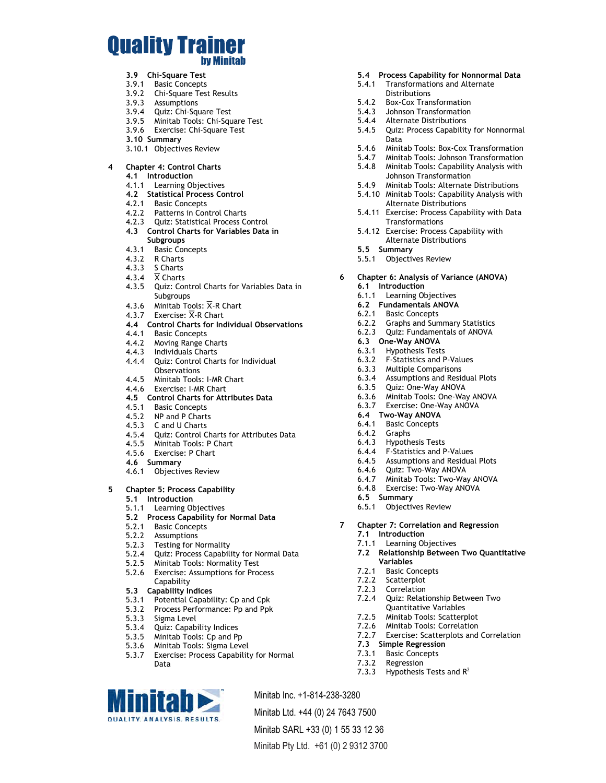## **Ouality Trainer by Minitab**

- **3.9 Chi-Square Test**
- 3.9.1 Basic Concepts
- 3.9.2 Chi-Square Test Results
- 3.9.3 Assumptions
- 3.9.4 Quiz: Chi-Square Test
- 3.9.5 Minitab Tools: Chi-Square Test
- 3.9.6 Exercise: Chi-Square Test
- **3.10 Summary**
- 3.10.1 Objectives Review

#### **4 Chapter 4: Control Charts**

- **4.1 Introduction**
- 4.1.1 Learning Objectives
- **4.2 Statistical Process Control**
- 4.2.1 Basic Concepts
- 4.2.2 Patterns in Control Charts
- 4.2.3 Quiz: Statistical Process Control
- **4.3 Control Charts for Variables Data in Subgroups**
- 4.3.1 Basic Concepts
- 4.3.2 R Charts
- 4.3.3 S Charts
- 4.3.4  $\overline{X}$  Charts
- 4.3.5 Quiz: Control Charts for Variables Data in **Subgroups**
- 4.3.6 Minitab Tools:  $\overline{X}$ -R Chart
- 4.3.7 Exercise:  $\overline{X}$ -R Chart
- **4.4 Control Charts for Individual Observations**
- 4.4.1 Basic Concepts
- 4.4.2 Moving Range Charts
- 4.4.3 Individuals Charts 4.4.4 Quiz: Control Charts for Individual **Observations**
- 4.4.5 Minitab Tools: I-MR Chart
- 4.4.6 Exercise: I-MR Chart
- **4.5 Control Charts for Attributes Data**
- 4.5.1 Basic Concepts
- 4.5.2 NP and P Charts
- 4.5.3 C and U Charts
- 4.5.4 Quiz: Control Charts for Attributes Data
- 4.5.5 Minitab Tools: P Chart
- 4.5.6 Exercise: P Chart
- **4.6 Summary**
- 4.6.1 Objectives Review

#### **5 Chapter 5: Process Capability**

- **5.1 Introduction**
- 5.1.1 Learning Objectives
- **5.2 Process Capability for Normal Data**
- 5.2.1 Basic Concepts
- 5.2.2 Assumptions
- 5.2.3 Testing for Normality
- 5.2.4 Quiz: Process Capability for Normal Data
- 5.2.5 Minitab Tools: Normality Test
- 5.2.6 Exercise: Assumptions for Process **Capability**
- **5.3 Capability Indices**
- 
- 5.3.1 Potential Capability: Cp and Cpk 5.3.2 Process Performance: Pp and Ppk
- 5.3.3 Sigma Level
- 

**initab QUALITY, ANALYSIS, RESULTS.** 

- 5.3.4 Quiz: Capability Indices
- 5.3.5 Minitab Tools: Cp and Pp
- 5.3.6 Minitab Tools: Sigma Level<br>5.3.7 Exercise: Process Capability
- Exercise: Process Capability for Normal Data

Minitab Inc. +1-814-238-3280 Minitab Ltd. +44 (0) 24 7643 7500

Minitab SARL +33 (0) 1 55 33 12 36 Minitab Pty Ltd. +61 (0) 2 9312 3700



- 5.4.1 Transformations and Alternate Distributions
- 5.4.2 Box-Cox Transformation
- 5.4.3 Johnson Transformation
- 
- 5.4.4 Alternate Distributions<br>5.4.5 Quiz: Process Capability Quiz: Process Capability for Nonnormal Data
- 5.4.6 Minitab Tools: Box-Cox Transformation<br>5.4.7 Minitab Tools: Johnson Transformation
- 5.4.7 Minitab Tools: Johnson Transformation<br>5.4.8 Minitab Tools: Capability Analysis with
- 5.4.8 Minitab Tools: Capability Analysis with Johnson Transformation
- 5.4.9 Minitab Tools: Alternate Distributions
- 5.4.10 Minitab Tools: Capability Analysis with Alternate Distributions
- 5.4.11 Exercise: Process Capability with Data **Transformations**
- 5.4.12 Exercise: Process Capability with Alternate Distributions
- **5.5 Summary**
- 5.5.1 Objectives Review

#### **6 Chapter 6: Analysis of Variance (ANOVA) 6.1 Introduction**

- 6.1.1 Learning Objectives
- **6.2 Fundamentals ANOVA**
- 6.2.1 Basic Concepts
- 6.2.2 Graphs and Summary Statistics
- 6.2.3 Quiz: Fundamentals of ANOVA
- **6.3 One-Way ANOVA**
- 6.3.1 Hypothesis Tests
- 6.3.2 F-Statistics and P-Values
- 6.3.3 Multiple Comparisons
- 6.3.4 Assumptions and Residual Plots
- 6.3.5 Quiz: One-Way ANOVA
- 6.3.6 Minitab Tools: One-Way ANOVA
- 6.3.7 Exercise: One-Way ANOVA
- **6.4 Two-Way ANOVA**
- 6.4.1 Basic Concepts<br>6.4.2 Graphs
- **Graphs**
- 6.4.3 Hypothesis Tests
- 6.4.4 F-Statistics and P-Values
- 6.4.5 Assumptions and Residual Plots
- 6.4.6 Quiz: Two-Way ANOVA
- 6.4.7 Minitab Tools: Two-Way ANOVA
- 6.4.8 Exercise: Two-Way ANOVA
- **6.5 Summary**
- 6.5.1 Objectives Review

7.1.1 Learning Objectives

**Variables** 7.2.1 Basic Concepts 7.2.2 Scatterplot 7.2.3 Correlation

**7.3 Simple Regression** 7.3.1 Basic Concepts 7.3.2 Regression

7.3.3 Hypothesis Tests and  $R^2$ 

**7 Chapter 7: Correlation and Regression 7.1 Introduction**

> 7.2.4 Quiz: Relationship Between Two Quantitative Variables 7.2.5 Minitab Tools: Scatterplot 7.2.6 Minitab Tools: Correlation

7.2.7 Exercise: Scatterplots and Correlation

**7.2 Relationship Between Two Quantitative**